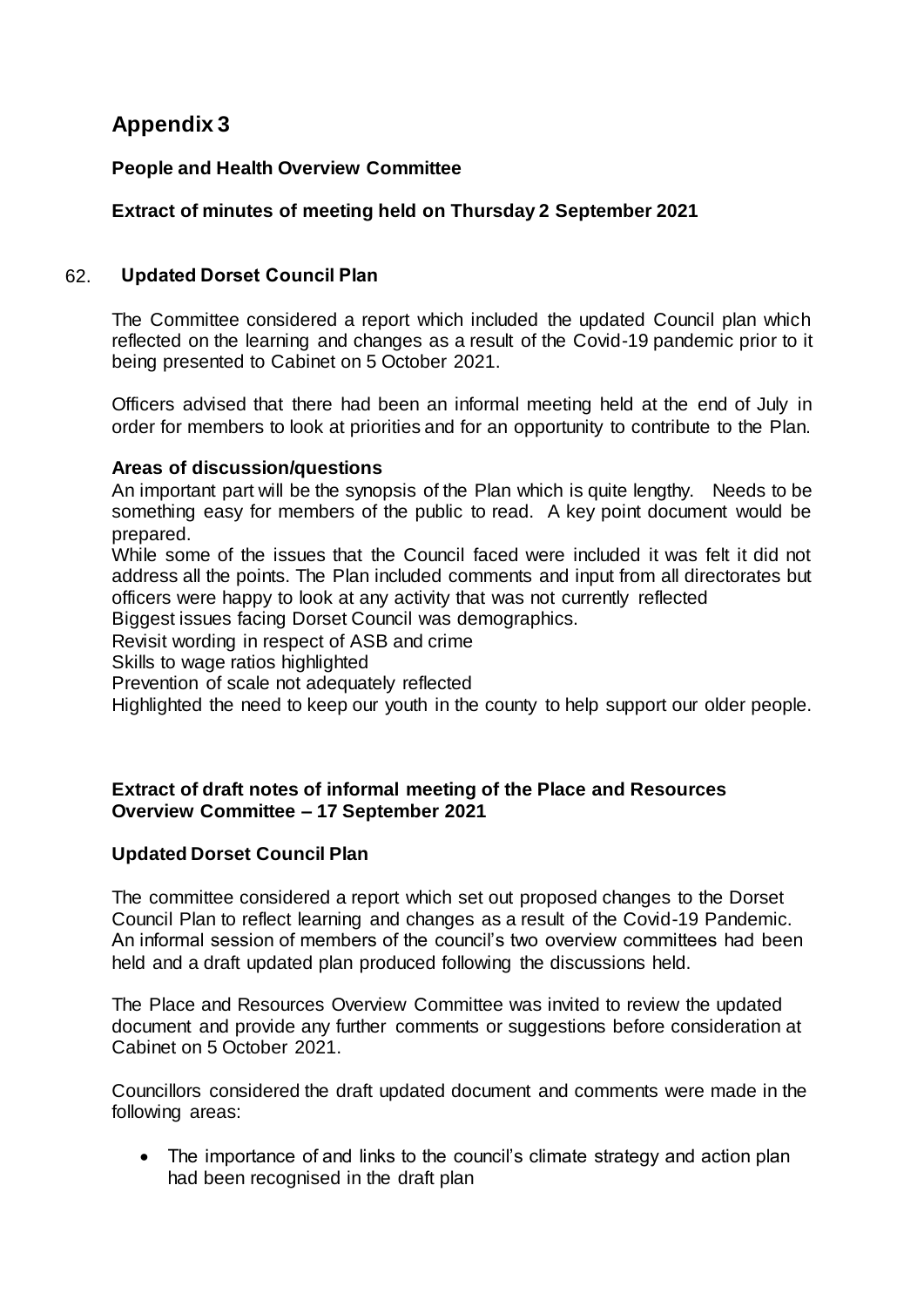# **Appendix 3**

### **People and Health Overview Committee**

## **Extract of minutes of meeting held on Thursday 2 September 2021**

#### 62. **Updated Dorset Council Plan**

The Committee considered a report which included the updated Council plan which reflected on the learning and changes as a result of the Covid-19 pandemic prior to it being presented to Cabinet on 5 October 2021.

Officers advised that there had been an informal meeting held at the end of July in order for members to look at priorities and for an opportunity to contribute to the Plan.

#### **Areas of discussion/questions**

An important part will be the synopsis of the Plan which is quite lengthy. Needs to be something easy for members of the public to read. A key point document would be prepared.

While some of the issues that the Council faced were included it was felt it did not address all the points. The Plan included comments and input from all directorates but officers were happy to look at any activity that was not currently reflected

Biggest issues facing Dorset Council was demographics.

Revisit wording in respect of ASB and crime

Skills to wage ratios highlighted

Prevention of scale not adequately reflected

Highlighted the need to keep our youth in the county to help support our older people.

#### **Extract of draft notes of informal meeting of the Place and Resources Overview Committee – 17 September 2021**

### **Updated Dorset Council Plan**

The committee considered a report which set out proposed changes to the Dorset Council Plan to reflect learning and changes as a result of the Covid-19 Pandemic. An informal session of members of the council's two overview committees had been held and a draft updated plan produced following the discussions held.

The Place and Resources Overview Committee was invited to review the updated document and provide any further comments or suggestions before consideration at Cabinet on 5 October 2021.

Councillors considered the draft updated document and comments were made in the following areas:

• The importance of and links to the council's climate strategy and action plan had been recognised in the draft plan